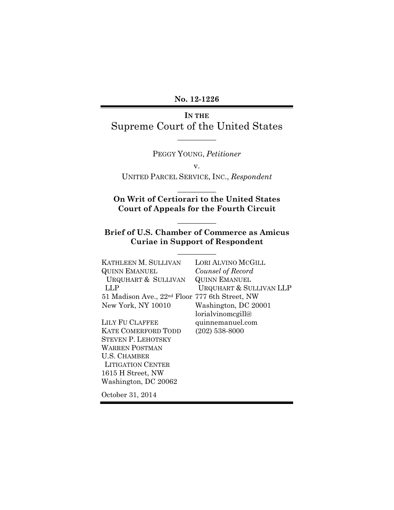No. 12-1226

#### IN THE

Supreme Court of the United States  $\overline{\phantom{a}}$   $\overline{\phantom{a}}$ 

PEGGY YOUNG, Petitioner

v.

UNITED PARCEL SERVICE, INC., Respondent  $\overline{\phantom{a}}$   $\overline{\phantom{a}}$ 

### On Writ of Certiorari to the United States Court of Appeals for the Fourth Circuit

Brief of U.S. Chamber of Commerce as Amicus Curiae in Support of Respondent

 $\overline{\phantom{a}}$   $\overline{\phantom{a}}$ 

 $\overline{\phantom{a}}$   $\overline{\phantom{a}}$ 

| KATHLEEN M. SULLIVAN                                       | LORI ALVINO MCGILL                 |
|------------------------------------------------------------|------------------------------------|
| <b>QUINN EMANUEL</b>                                       | Counsel of Record                  |
| URQUHART & SULLIVAN                                        | <b>QUINN EMANUEL</b>               |
| LLP                                                        | <b>URQUHART &amp; SULLIVAN LLP</b> |
| 51 Madison Ave., 22 <sup>nd</sup> Floor 777 6th Street, NW |                                    |
| New York, NY 10010                                         | Washington, DC 20001               |
|                                                            | lorialvinomegill@                  |
| LILY FU CLAFFEE                                            | quinnemanuel.com                   |
| <b>KATE COMERFORD TODD</b>                                 | $(202)$ 538-8000                   |
| <b>STEVEN P. LEHOTSKY</b>                                  |                                    |
| <b>WARREN POSTMAN</b>                                      |                                    |
| <b>U.S. CHAMBER</b>                                        |                                    |
| <b>LITIGATION CENTER</b>                                   |                                    |
| 1615 H Street, NW                                          |                                    |
| Washington, DC 20062                                       |                                    |
|                                                            |                                    |
| October 31, 2014                                           |                                    |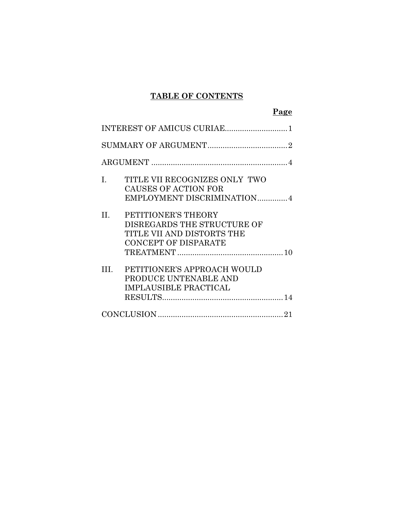### TABLE OF CONTENTS

|--|

| INTEREST OF AMICUS CURIAE                                                                                                  |
|----------------------------------------------------------------------------------------------------------------------------|
|                                                                                                                            |
|                                                                                                                            |
| TITLE VII RECOGNIZES ONLY TWO<br>$\mathbf{I}$ .<br>CAUSES OF ACTION FOR<br>EMPLOYMENT DISCRIMINATION4                      |
| $\Pi$ .<br>PETITIONER'S THEORY<br>DISREGARDS THE STRUCTURE OF<br>TITLE VII AND DISTORTS THE<br><b>CONCEPT OF DISPARATE</b> |
| PETITIONER'S APPROACH WOULD<br>HI.<br>PRODUCE UNTENABLE AND<br><b>IMPLAUSIBLE PRACTICAL</b>                                |
|                                                                                                                            |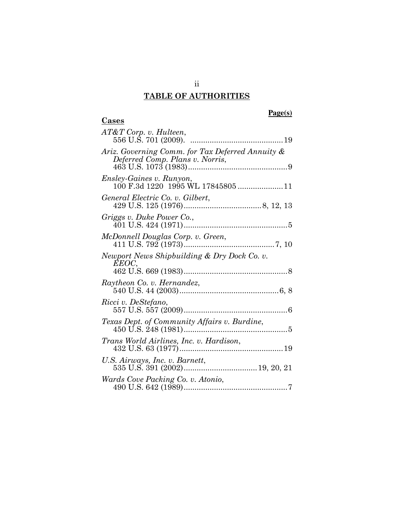# TABLE OF AUTHORITIES

**Cases** 

### **Page(s)**

| $AT\&T$ Corp. v. Hulteen,                                                           |
|-------------------------------------------------------------------------------------|
| Ariz. Governing Comm. for Tax Deferred Annuity &<br>Deferred Comp. Plans v. Norris, |
| <i>Ensley-Gaines v. Runyon,</i>                                                     |
| General Electric Co. v. Gilbert,                                                    |
| Griggs v. Duke Power Co.,                                                           |
| McDonnell Douglas Corp. v. Green,                                                   |
| Newport News Shipbuilding & Dry Dock Co. v.<br>EEOC,                                |
| Raytheon Co. v. Hernandez,                                                          |
| Ricci v. DeStefano,                                                                 |
| Texas Dept. of Community Affairs v. Burdine,                                        |
| Trans World Airlines, Inc. v. Hardison,                                             |
| U.S. Airways, Inc. v. Barnett,                                                      |
| Wards Cove Packing Co. v. Atonio,                                                   |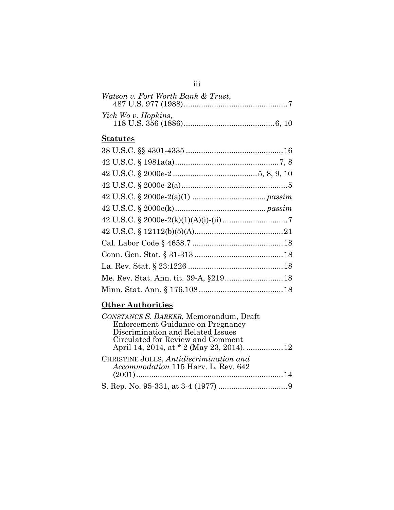| Watson v. Fort Worth Bank & Trust, |  |
|------------------------------------|--|
| Yick Wo v. Hopkins,                |  |

### **Statutes**

## **Other Authorities**

| CONSTANCE S. BARKER, Memorandum, Draft                                         |  |
|--------------------------------------------------------------------------------|--|
| Enforcement Guidance on Pregnancy                                              |  |
| Discrimination and Related Issues                                              |  |
| Circulated for Review and Comment                                              |  |
|                                                                                |  |
| CHRISTINE JOLLS, Antidiscrimination and<br>Accommodation 115 Harv. L. Rev. 642 |  |
|                                                                                |  |
|                                                                                |  |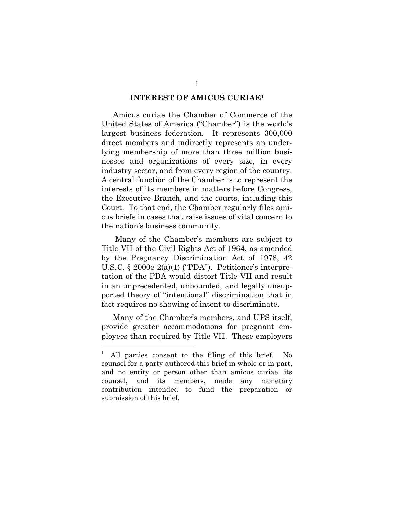#### INTEREST OF AMICUS CURIAE<sup>1</sup>

Amicus curiae the Chamber of Commerce of the United States of America ("Chamber") is the world's largest business federation. It represents 300,000 direct members and indirectly represents an underlying membership of more than three million businesses and organizations of every size, in every industry sector, and from every region of the country. A central function of the Chamber is to represent the interests of its members in matters before Congress, the Executive Branch, and the courts, including this Court. To that end, the Chamber regularly files amicus briefs in cases that raise issues of vital concern to the nation's business community.

 Many of the Chamber's members are subject to Title VII of the Civil Rights Act of 1964, as amended by the Pregnancy Discrimination Act of 1978, 42 U.S.C. § 2000e-2(a)(1) ("PDA"). Petitioner's interpretation of the PDA would distort Title VII and result in an unprecedented, unbounded, and legally unsupported theory of "intentional" discrimination that in fact requires no showing of intent to discriminate.

Many of the Chamber's members, and UPS itself, provide greater accommodations for pregnant employees than required by Title VII. These employers

 $\overline{a}$ 

<sup>1</sup> All parties consent to the filing of this brief. No counsel for a party authored this brief in whole or in part, and no entity or person other than amicus curiae, its counsel, and its members, made any monetary contribution intended to fund the preparation or submission of this brief.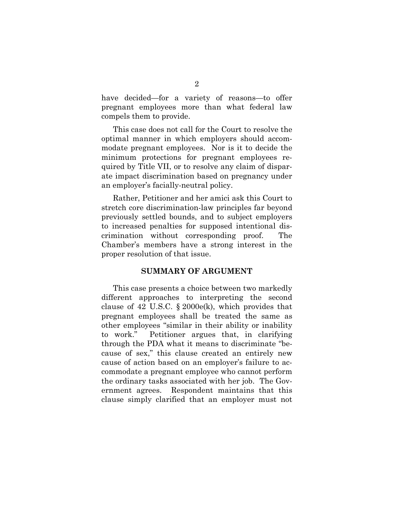have decided—for a variety of reasons—to offer pregnant employees more than what federal law compels them to provide.

This case does not call for the Court to resolve the optimal manner in which employers should accommodate pregnant employees. Nor is it to decide the minimum protections for pregnant employees required by Title VII, or to resolve any claim of disparate impact discrimination based on pregnancy under an employer's facially-neutral policy.

Rather, Petitioner and her amici ask this Court to stretch core discrimination-law principles far beyond previously settled bounds, and to subject employers to increased penalties for supposed intentional discrimination without corresponding proof. The Chamber's members have a strong interest in the proper resolution of that issue.

#### SUMMARY OF ARGUMENT

This case presents a choice between two markedly different approaches to interpreting the second clause of 42 U.S.C.  $\S 2000e(k)$ , which provides that pregnant employees shall be treated the same as other employees "similar in their ability or inability to work." Petitioner argues that, in clarifying through the PDA what it means to discriminate "because of sex," this clause created an entirely new cause of action based on an employer's failure to accommodate a pregnant employee who cannot perform the ordinary tasks associated with her job. The Government agrees. Respondent maintains that this clause simply clarified that an employer must not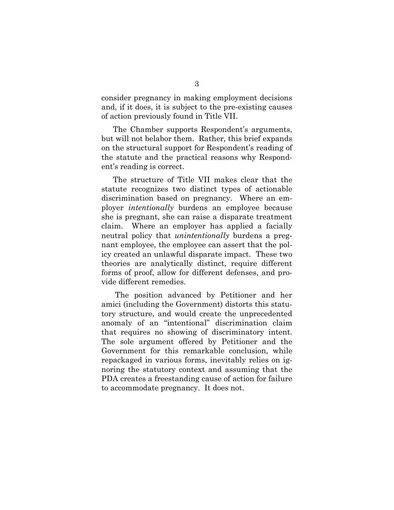consider pregnancy in making employment decisions and, if it does, it is subject to the pre-existing causes of action previously found in Title VII.

The Chamber supports Respondent's arguments, but will not belabor them. Rather, this brief expands on the structural support for Respondent's reading of the statute and the practical reasons why Respondent's reading is correct.

The structure of Title VII makes clear that the statute recognizes two distinct types of actionable discrimination based on pregnancy. Where an employer intentionally burdens an employee because she is pregnant, she can raise a disparate treatment claim. Where an employer has applied a facially neutral policy that *unintentionally* burdens a pregnant employee, the employee can assert that the policy created an unlawful disparate impact. These two theories are analytically distinct, require different forms of proof, allow for different defenses, and provide different remedies.

 The position advanced by Petitioner and her amici (including the Government) distorts this statutory structure, and would create the unprecedented anomaly of an "intentional" discrimination claim that requires no showing of discriminatory intent. The sole argument offered by Petitioner and the Government for this remarkable conclusion, while repackaged in various forms, inevitably relies on ignoring the statutory context and assuming that the PDA creates a freestanding cause of action for failure to accommodate pregnancy. It does not.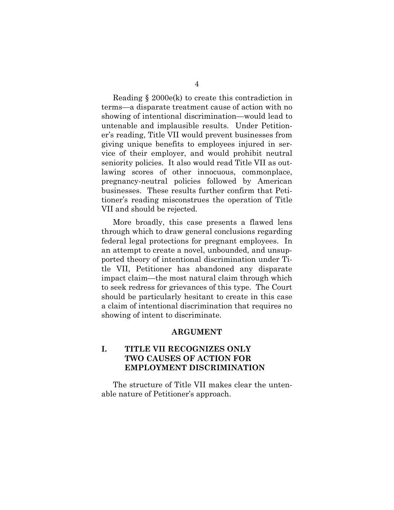Reading § 2000e(k) to create this contradiction in terms—a disparate treatment cause of action with no showing of intentional discrimination—would lead to untenable and implausible results. Under Petitioner's reading, Title VII would prevent businesses from giving unique benefits to employees injured in service of their employer, and would prohibit neutral seniority policies. It also would read Title VII as outlawing scores of other innocuous, commonplace, pregnancy-neutral policies followed by American businesses. These results further confirm that Petitioner's reading misconstrues the operation of Title VII and should be rejected.

More broadly, this case presents a flawed lens through which to draw general conclusions regarding federal legal protections for pregnant employees. In an attempt to create a novel, unbounded, and unsupported theory of intentional discrimination under Title VII, Petitioner has abandoned any disparate impact claim—the most natural claim through which to seek redress for grievances of this type. The Court should be particularly hesitant to create in this case a claim of intentional discrimination that requires no showing of intent to discriminate.

#### ARGUMENT

### I. TITLE VII RECOGNIZES ONLY TWO CAUSES OF ACTION FOR EMPLOYMENT DISCRIMINATION

The structure of Title VII makes clear the untenable nature of Petitioner's approach.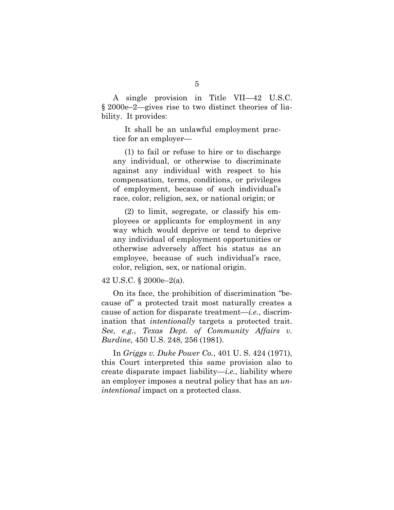A single provision in Title VII—42 U.S.C. § 2000e–2—gives rise to two distinct theories of liability. It provides:

It shall be an unlawful employment practice for an employer—

(1) to fail or refuse to hire or to discharge any individual, or otherwise to discriminate against any individual with respect to his compensation, terms, conditions, or privileges of employment, because of such individual's race, color, religion, sex, or national origin; or

(2) to limit, segregate, or classify his employees or applicants for employment in any way which would deprive or tend to deprive any individual of employment opportunities or otherwise adversely affect his status as an employee, because of such individual's race, color, religion, sex, or national origin.

#### 42 U.S.C. § 2000e–2(a).

On its face, the prohibition of discrimination "because of" a protected trait most naturally creates a cause of action for disparate treatment—*i.e.*, discrimination that intentionally targets a protected trait. See, e.g., Texas Dept. of Community Affairs v. Burdine, 450 U.S. 248, 256 (1981).

In Griggs v. Duke Power Co., 401 U. S. 424 (1971), this Court interpreted this same provision also to create disparate impact liability—*i.e.*, liability where an employer imposes a neutral policy that has an *un*intentional impact on a protected class.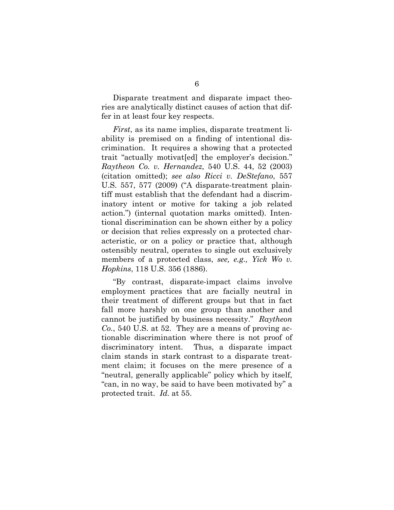Disparate treatment and disparate impact theories are analytically distinct causes of action that differ in at least four key respects.

First, as its name implies, disparate treatment liability is premised on a finding of intentional discrimination. It requires a showing that a protected trait "actually motivat[ed] the employer's decision." Raytheon Co. v. Hernandez, 540 U.S. 44, 52 (2003) (citation omitted); see also Ricci v. DeStefano, 557 U.S. 557, 577 (2009) ("A disparate-treatment plaintiff must establish that the defendant had a discriminatory intent or motive for taking a job related action.") (internal quotation marks omitted). Intentional discrimination can be shown either by a policy or decision that relies expressly on a protected characteristic, or on a policy or practice that, although ostensibly neutral, operates to single out exclusively members of a protected class, see, e.g., Yick Wo v. Hopkins, 118 U.S. 356 (1886).

"By contrast, disparate-impact claims involve employment practices that are facially neutral in their treatment of different groups but that in fact fall more harshly on one group than another and cannot be justified by business necessity." Raytheon Co., 540 U.S. at 52. They are a means of proving actionable discrimination where there is not proof of discriminatory intent. Thus, a disparate impact claim stands in stark contrast to a disparate treatment claim; it focuses on the mere presence of a "neutral, generally applicable" policy which by itself, "can, in no way, be said to have been motivated by" a protected trait. Id. at 55.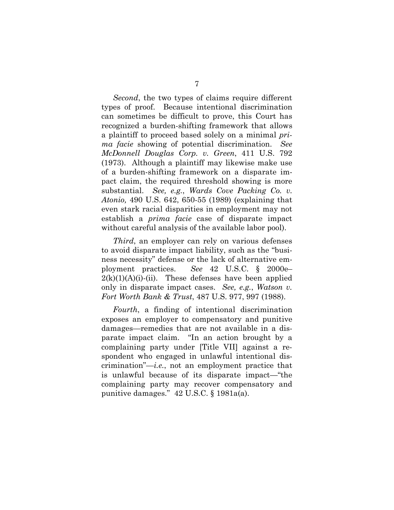Second, the two types of claims require different types of proof. Because intentional discrimination can sometimes be difficult to prove, this Court has recognized a burden-shifting framework that allows a plaintiff to proceed based solely on a minimal prima facie showing of potential discrimination. See McDonnell Douglas Corp. v. Green, 411 U.S. 792 (1973). Although a plaintiff may likewise make use of a burden-shifting framework on a disparate impact claim, the required threshold showing is more substantial. See, e.g., Wards Cove Packing Co. v. Atonio, 490 U.S. 642, 650-55 (1989) (explaining that even stark racial disparities in employment may not establish a prima facie case of disparate impact without careful analysis of the available labor pool).

Third, an employer can rely on various defenses to avoid disparate impact liability, such as the "business necessity" defense or the lack of alternative employment practices. See 42 U.S.C. § 2000e–  $2(k)(1)(A)(i)$ -(ii). These defenses have been applied only in disparate impact cases. See, e.g., Watson v. Fort Worth Bank & Trust, 487 U.S. 977, 997 (1988).

Fourth, a finding of intentional discrimination exposes an employer to compensatory and punitive damages—remedies that are not available in a disparate impact claim. "In an action brought by a complaining party under [Title VII] against a respondent who engaged in unlawful intentional discrimination"—*i.e.*, not an employment practice that is unlawful because of its disparate impact—"the complaining party may recover compensatory and punitive damages." 42 U.S.C. § 1981a(a).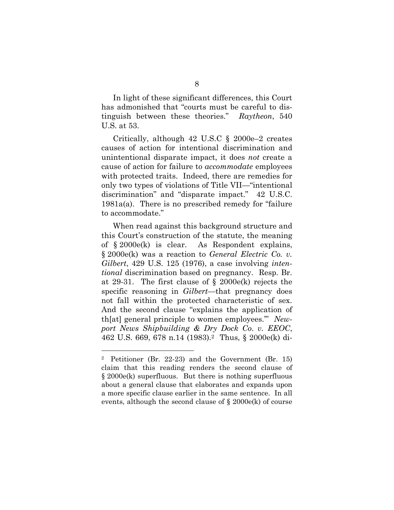In light of these significant differences, this Court has admonished that "courts must be careful to distinguish between these theories." Raytheon, 540 U.S. at 53.

Critically, although 42 U.S.C § 2000e–2 creates causes of action for intentional discrimination and unintentional disparate impact, it does not create a cause of action for failure to accommodate employees with protected traits. Indeed, there are remedies for only two types of violations of Title VII—"intentional discrimination" and "disparate impact." 42 U.S.C. 1981a(a). There is no prescribed remedy for "failure to accommodate."

When read against this background structure and this Court's construction of the statute, the meaning of § 2000e(k) is clear. As Respondent explains, § 2000e(k) was a reaction to General Electric Co. v. Gilbert, 429 U.S. 125 (1976), a case involving *inten*tional discrimination based on pregnancy. Resp. Br. at 29-31. The first clause of § 2000e(k) rejects the specific reasoning in *Gilbert*—that pregnancy does not fall within the protected characteristic of sex. And the second clause "explains the application of th[at] general principle to women employees.'" Newport News Shipbuilding & Dry Dock Co. v. EEOC, 462 U.S. 669, 678 n.14 (1983).2 Thus, § 2000e(k) di-

 $\overline{a}$ 

<sup>2</sup> Petitioner (Br. 22-23) and the Government (Br. 15) claim that this reading renders the second clause of § 2000e(k) superfluous. But there is nothing superfluous about a general clause that elaborates and expands upon a more specific clause earlier in the same sentence. In all events, although the second clause of  $\S 2000e(k)$  of course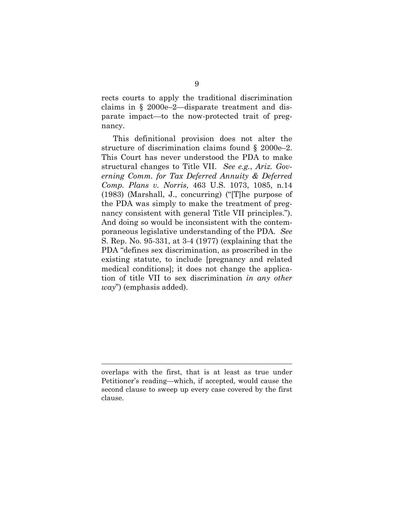rects courts to apply the traditional discrimination claims in § 2000e–2—disparate treatment and disparate impact—to the now-protected trait of pregnancy.

This definitional provision does not alter the structure of discrimination claims found § 2000e–2. This Court has never understood the PDA to make structural changes to Title VII. See e.g., Ariz. Governing Comm. for Tax Deferred Annuity & Deferred Comp. Plans v. Norris, 463 U.S. 1073, 1085, n.14 (1983) (Marshall, J., concurring) ("[T]he purpose of the PDA was simply to make the treatment of pregnancy consistent with general Title VII principles."). And doing so would be inconsistent with the contemporaneous legislative understanding of the PDA. See S. Rep. No. 95-331, at 3-4 (1977) (explaining that the PDA "defines sex discrimination, as proscribed in the existing statute, to include [pregnancy and related medical conditions]; it does not change the application of title VII to sex discrimination in any other  $way$ ") (emphasis added).

l.

overlaps with the first, that is at least as true under Petitioner's reading—which, if accepted, would cause the second clause to sweep up every case covered by the first clause.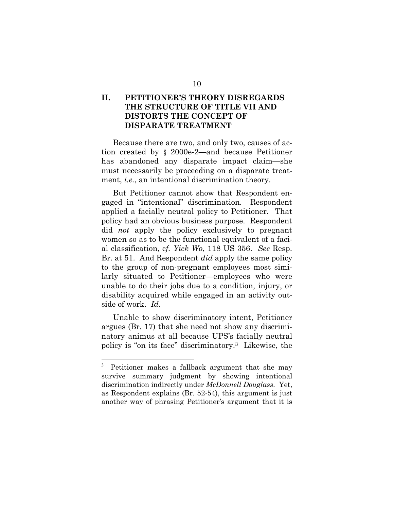### II. PETITIONER'S THEORY DISREGARDS THE STRUCTURE OF TITLE VII AND DISTORTS THE CONCEPT OF DISPARATE TREATMENT

Because there are two, and only two, causes of action created by § 2000e-2—and because Petitioner has abandoned any disparate impact claim—she must necessarily be proceeding on a disparate treatment, *i.e.*, an intentional discrimination theory.

But Petitioner cannot show that Respondent engaged in "intentional" discrimination. Respondent applied a facially neutral policy to Petitioner. That policy had an obvious business purpose. Respondent did not apply the policy exclusively to pregnant women so as to be the functional equivalent of a facial classification, cf. Yick Wo, 118 US 356. See Resp. Br. at 51. And Respondent *did* apply the same policy to the group of non-pregnant employees most similarly situated to Petitioner—employees who were unable to do their jobs due to a condition, injury, or disability acquired while engaged in an activity outside of work. Id.

Unable to show discriminatory intent, Petitioner argues (Br. 17) that she need not show any discriminatory animus at all because UPS's facially neutral policy is "on its face" discriminatory.3 Likewise, the

l.

<sup>3</sup> Petitioner makes a fallback argument that she may survive summary judgment by showing intentional discrimination indirectly under McDonnell Douglass. Yet, as Respondent explains (Br. 52-54), this argument is just another way of phrasing Petitioner's argument that it is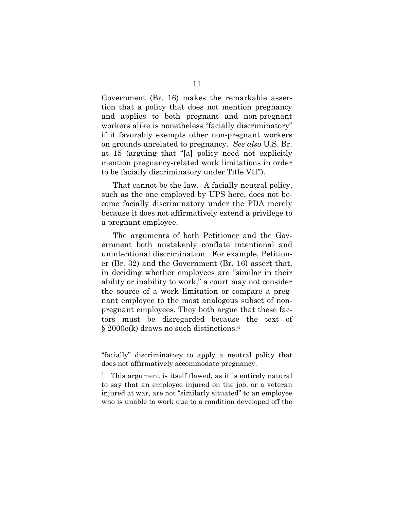Government (Br. 16) makes the remarkable assertion that a policy that does not mention pregnancy and applies to both pregnant and non-pregnant workers alike is nonetheless "facially discriminatory" if it favorably exempts other non-pregnant workers on grounds unrelated to pregnancy. See also U.S. Br. at 15 (arguing that "[a] policy need not explicitly mention pregnancy-related work limitations in order to be facially discriminatory under Title VII").

That cannot be the law. A facially neutral policy, such as the one employed by UPS here, does not become facially discriminatory under the PDA merely because it does not affirmatively extend a privilege to a pregnant employee.

The arguments of both Petitioner and the Government both mistakenly conflate intentional and unintentional discrimination. For example, Petitioner (Br. 32) and the Government (Br. 16) assert that, in deciding whether employees are "similar in their ability or inability to work," a court may not consider the source of a work limitation or compare a pregnant employee to the most analogous subset of nonpregnant employees. They both argue that these factors must be disregarded because the text of § 2000e(k) draws no such distinctions.<sup>4</sup>

 $\overline{a}$ 

<sup>&</sup>quot;facially" discriminatory to apply a neutral policy that does not affirmatively accommodate pregnancy.

<sup>4</sup> This argument is itself flawed, as it is entirely natural to say that an employee injured on the job, or a veteran injured at war, are not "similarly situated" to an employee who is unable to work due to a condition developed off the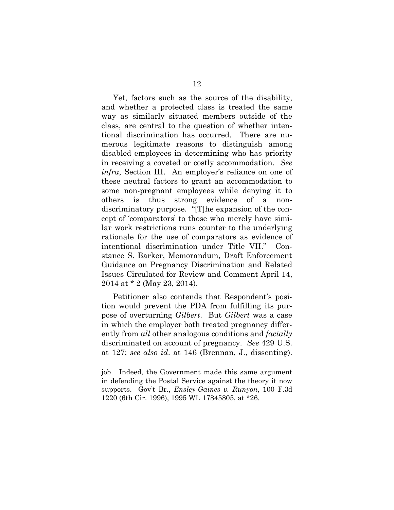Yet, factors such as the source of the disability, and whether a protected class is treated the same way as similarly situated members outside of the class, are central to the question of whether intentional discrimination has occurred. There are numerous legitimate reasons to distinguish among disabled employees in determining who has priority in receiving a coveted or costly accommodation. See infra, Section III. An employer's reliance on one of these neutral factors to grant an accommodation to some non-pregnant employees while denying it to others is thus strong evidence of a nondiscriminatory purpose. "[T]he expansion of the concept of 'comparators' to those who merely have similar work restrictions runs counter to the underlying rationale for the use of comparators as evidence of intentional discrimination under Title VII." Constance S. Barker, Memorandum, Draft Enforcement Guidance on Pregnancy Discrimination and Related Issues Circulated for Review and Comment April 14, 2014 at \* 2 (May 23, 2014).

Petitioner also contends that Respondent's position would prevent the PDA from fulfilling its purpose of overturning Gilbert. But Gilbert was a case in which the employer both treated pregnancy differently from all other analogous conditions and *facially* discriminated on account of pregnancy. See 429 U.S. at 127; see also id. at 146 (Brennan, J., dissenting).

l.

job. Indeed, the Government made this same argument in defending the Postal Service against the theory it now supports. Gov't Br., Ensley-Gaines v. Runyon, 100 F.3d 1220 (6th Cir. 1996), 1995 WL 17845805, at \*26.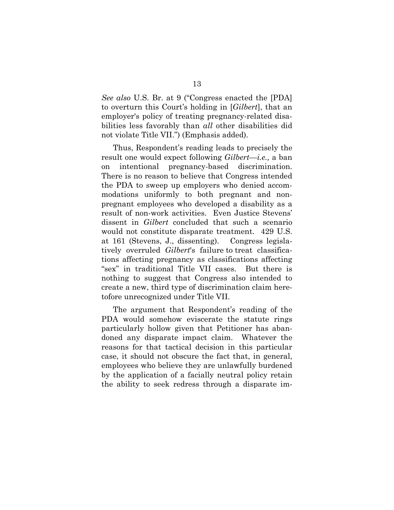See also U.S. Br. at 9 ("Congress enacted the [PDA] to overturn this Court's holding in [Gilbert], that an employer's policy of treating pregnancy-related disabilities less favorably than *all* other disabilities did not violate Title VII.") (Emphasis added).

Thus, Respondent's reading leads to precisely the result one would expect following Gilbert—i.e., a ban on intentional pregnancy-based discrimination. There is no reason to believe that Congress intended the PDA to sweep up employers who denied accommodations uniformly to both pregnant and nonpregnant employees who developed a disability as a result of non-work activities. Even Justice Stevens' dissent in Gilbert concluded that such a scenario would not constitute disparate treatment. 429 U.S. at 161 (Stevens, J., dissenting). Congress legislatively overruled Gilbert's failure to treat classifications affecting pregnancy as classifications affecting "sex" in traditional Title VII cases. But there is nothing to suggest that Congress also intended to create a new, third type of discrimination claim heretofore unrecognized under Title VII.

The argument that Respondent's reading of the PDA would somehow eviscerate the statute rings particularly hollow given that Petitioner has abandoned any disparate impact claim. Whatever the reasons for that tactical decision in this particular case, it should not obscure the fact that, in general, employees who believe they are unlawfully burdened by the application of a facially neutral policy retain the ability to seek redress through a disparate im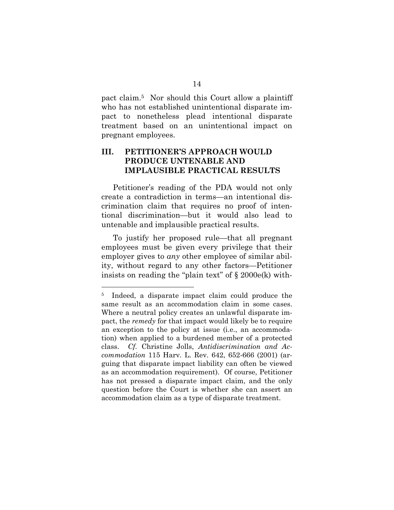pact claim.5 Nor should this Court allow a plaintiff who has not established unintentional disparate impact to nonetheless plead intentional disparate treatment based on an unintentional impact on pregnant employees.

### III. PETITIONER'S APPROACH WOULD PRODUCE UNTENABLE AND IMPLAUSIBLE PRACTICAL RESULTS

Petitioner's reading of the PDA would not only create a contradiction in terms—an intentional discrimination claim that requires no proof of intentional discrimination—but it would also lead to untenable and implausible practical results.

To justify her proposed rule—that all pregnant employees must be given every privilege that their employer gives to *any* other employee of similar ability, without regard to any other factors—Petitioner insists on reading the "plain text" of  $\S 2000e(k)$  with-

 $\overline{a}$ 

<sup>5</sup> Indeed, a disparate impact claim could produce the same result as an accommodation claim in some cases. Where a neutral policy creates an unlawful disparate impact, the remedy for that impact would likely be to require an exception to the policy at issue (i.e., an accommodation) when applied to a burdened member of a protected class. Cf. Christine Jolls, Antidiscrimination and Accommodation 115 Harv. L. Rev. 642, 652-666 (2001) (arguing that disparate impact liability can often be viewed as an accommodation requirement). Of course, Petitioner has not pressed a disparate impact claim, and the only question before the Court is whether she can assert an accommodation claim as a type of disparate treatment.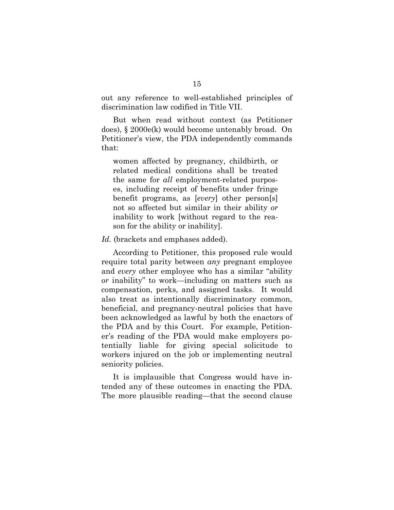out any reference to well-established principles of discrimination law codified in Title VII.

But when read without context (as Petitioner does), § 2000e(k) would become untenably broad. On Petitioner's view, the PDA independently commands that:

women affected by pregnancy, childbirth, or related medical conditions shall be treated the same for all employment-related purposes, including receipt of benefits under fringe benefit programs, as [every] other person[s] not so affected but similar in their ability or inability to work [without regard to the reason for the ability or inability].

Id. (brackets and emphases added).

According to Petitioner, this proposed rule would require total parity between *any* pregnant employee and every other employee who has a similar "ability or inability" to work—including on matters such as compensation, perks, and assigned tasks. It would also treat as intentionally discriminatory common, beneficial, and pregnancy-neutral policies that have been acknowledged as lawful by both the enactors of the PDA and by this Court. For example, Petitioner's reading of the PDA would make employers potentially liable for giving special solicitude to workers injured on the job or implementing neutral seniority policies.

It is implausible that Congress would have intended any of these outcomes in enacting the PDA. The more plausible reading—that the second clause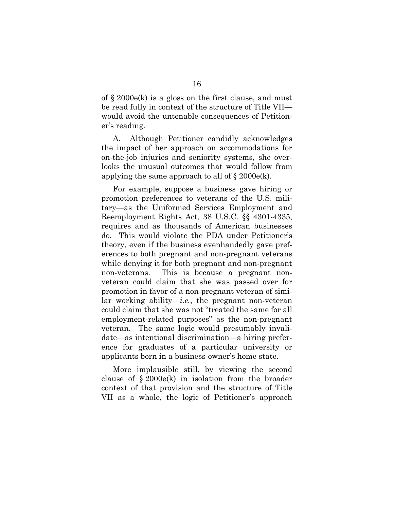of § 2000e(k) is a gloss on the first clause, and must be read fully in context of the structure of Title VII would avoid the untenable consequences of Petitioner's reading.

A. Although Petitioner candidly acknowledges the impact of her approach on accommodations for on-the-job injuries and seniority systems, she overlooks the unusual outcomes that would follow from applying the same approach to all of  $\S 2000e(k)$ .

For example, suppose a business gave hiring or promotion preferences to veterans of the U.S. military—as the Uniformed Services Employment and Reemployment Rights Act, 38 U.S.C. §§ 4301-4335, requires and as thousands of American businesses do. This would violate the PDA under Petitioner's theory, even if the business evenhandedly gave preferences to both pregnant and non-pregnant veterans while denying it for both pregnant and non-pregnant non-veterans. This is because a pregnant nonveteran could claim that she was passed over for promotion in favor of a non-pregnant veteran of similar working ability—*i.e.*, the pregnant non-veteran could claim that she was not "treated the same for all employment-related purposes" as the non-pregnant veteran. The same logic would presumably invalidate—as intentional discrimination—a hiring preference for graduates of a particular university or applicants born in a business-owner's home state.

More implausible still, by viewing the second clause of  $\S 2000e(k)$  in isolation from the broader context of that provision and the structure of Title VII as a whole, the logic of Petitioner's approach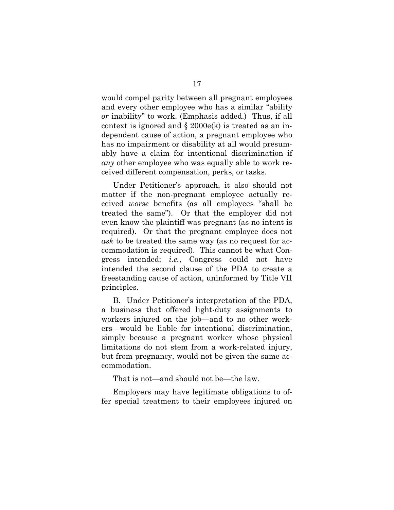would compel parity between all pregnant employees and every other employee who has a similar "ability or inability" to work. (Emphasis added.) Thus, if all context is ignored and  $\S 2000e(k)$  is treated as an independent cause of action, a pregnant employee who has no impairment or disability at all would presumably have a claim for intentional discrimination if any other employee who was equally able to work received different compensation, perks, or tasks.

Under Petitioner's approach, it also should not matter if the non-pregnant employee actually received worse benefits (as all employees "shall be treated the same"). Or that the employer did not even know the plaintiff was pregnant (as no intent is required). Or that the pregnant employee does not ask to be treated the same way (as no request for accommodation is required). This cannot be what Congress intended; i.e., Congress could not have intended the second clause of the PDA to create a freestanding cause of action, uninformed by Title VII principles.

B. Under Petitioner's interpretation of the PDA, a business that offered light-duty assignments to workers injured on the job—and to no other workers—would be liable for intentional discrimination, simply because a pregnant worker whose physical limitations do not stem from a work-related injury, but from pregnancy, would not be given the same accommodation.

That is not—and should not be—the law.

Employers may have legitimate obligations to offer special treatment to their employees injured on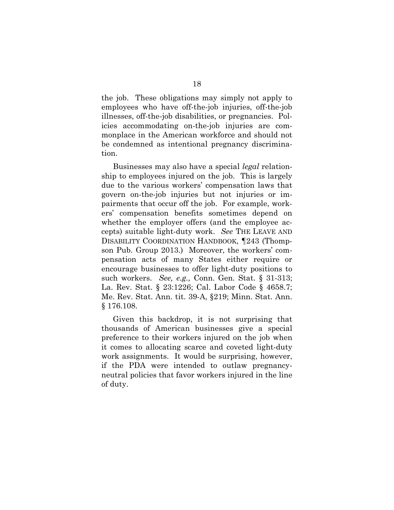the job. These obligations may simply not apply to employees who have off-the-job injuries, off-the-job illnesses, off-the-job disabilities, or pregnancies. Policies accommodating on-the-job injuries are commonplace in the American workforce and should not be condemned as intentional pregnancy discrimination.

Businesses may also have a special *legal* relationship to employees injured on the job. This is largely due to the various workers' compensation laws that govern on-the-job injuries but not injuries or impairments that occur off the job. For example, workers' compensation benefits sometimes depend on whether the employer offers (and the employee accepts) suitable light-duty work. See THE LEAVE AND DISABILITY COORDINATION HANDBOOK, ¶243 (Thompson Pub. Group 2013.) Moreover, the workers' compensation acts of many States either require or encourage businesses to offer light-duty positions to such workers. See, e.g., Conn. Gen. Stat. § 31-313; La. Rev. Stat. § 23:1226; Cal. Labor Code § 4658.7; Me. Rev. Stat. Ann. tit. 39-A, §219; Minn. Stat. Ann. § 176.108.

Given this backdrop, it is not surprising that thousands of American businesses give a special preference to their workers injured on the job when it comes to allocating scarce and coveted light-duty work assignments. It would be surprising, however, if the PDA were intended to outlaw pregnancyneutral policies that favor workers injured in the line of duty.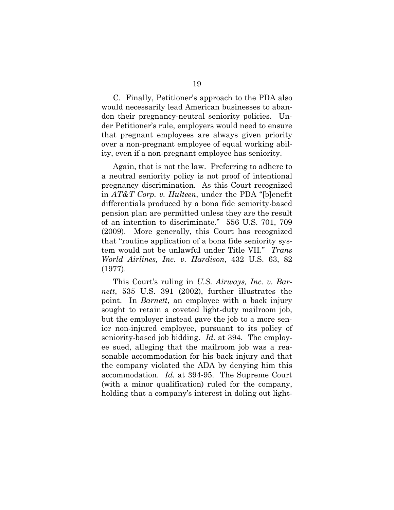C. Finally, Petitioner's approach to the PDA also would necessarily lead American businesses to abandon their pregnancy-neutral seniority policies. Under Petitioner's rule, employers would need to ensure that pregnant employees are always given priority over a non-pregnant employee of equal working ability, even if a non-pregnant employee has seniority.

Again, that is not the law. Preferring to adhere to a neutral seniority policy is not proof of intentional pregnancy discrimination. As this Court recognized in AT&T Corp. v. Hulteen, under the PDA "[b]enefit differentials produced by a bona fide seniority-based pension plan are permitted unless they are the result of an intention to discriminate." 556 U.S. 701, 709 (2009). More generally, this Court has recognized that "routine application of a bona fide seniority system would not be unlawful under Title VII." Trans World Airlines, Inc. v. Hardison, 432 U.S. 63, 82 (1977).

This Court's ruling in U.S. Airways, Inc. v. Barnett, 535 U.S. 391 (2002), further illustrates the point. In *Barnett*, an employee with a back injury sought to retain a coveted light-duty mailroom job, but the employer instead gave the job to a more senior non-injured employee, pursuant to its policy of seniority-based job bidding. Id. at 394. The employee sued, alleging that the mailroom job was a reasonable accommodation for his back injury and that the company violated the ADA by denying him this accommodation. Id. at 394-95. The Supreme Court (with a minor qualification) ruled for the company, holding that a company's interest in doling out light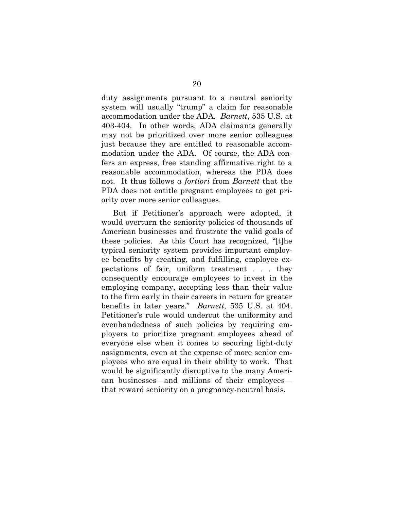duty assignments pursuant to a neutral seniority system will usually "trump" a claim for reasonable accommodation under the ADA. Barnett, 535 U.S. at 403-404. In other words, ADA claimants generally may not be prioritized over more senior colleagues just because they are entitled to reasonable accommodation under the ADA. Of course, the ADA confers an express, free standing affirmative right to a reasonable accommodation, whereas the PDA does not. It thus follows a fortiori from Barnett that the PDA does not entitle pregnant employees to get priority over more senior colleagues.

But if Petitioner's approach were adopted, it would overturn the seniority policies of thousands of American businesses and frustrate the valid goals of these policies. As this Court has recognized, "[t]he typical seniority system provides important employee benefits by creating, and fulfilling, employee expectations of fair, uniform treatment . . . they consequently encourage employees to invest in the employing company, accepting less than their value to the firm early in their careers in return for greater benefits in later years." Barnett, 535 U.S. at 404. Petitioner's rule would undercut the uniformity and evenhandedness of such policies by requiring employers to prioritize pregnant employees ahead of everyone else when it comes to securing light-duty assignments, even at the expense of more senior employees who are equal in their ability to work. That would be significantly disruptive to the many American businesses—and millions of their employees that reward seniority on a pregnancy-neutral basis.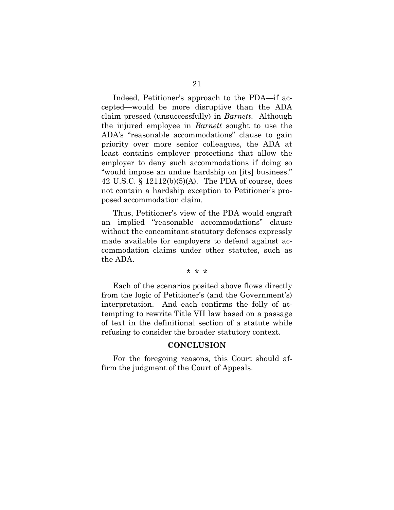Indeed, Petitioner's approach to the PDA—if accepted—would be more disruptive than the ADA claim pressed (unsuccessfully) in Barnett. Although the injured employee in Barnett sought to use the ADA's "reasonable accommodations" clause to gain priority over more senior colleagues, the ADA at least contains employer protections that allow the employer to deny such accommodations if doing so "would impose an undue hardship on [its] business." 42 U.S.C. § 12112(b)(5)(A). The PDA of course, does not contain a hardship exception to Petitioner's proposed accommodation claim.

Thus, Petitioner's view of the PDA would engraft an implied "reasonable accommodations" clause without the concomitant statutory defenses expressly made available for employers to defend against accommodation claims under other statutes, such as the ADA.

#### \* \* \*

Each of the scenarios posited above flows directly from the logic of Petitioner's (and the Government's) interpretation. And each confirms the folly of attempting to rewrite Title VII law based on a passage of text in the definitional section of a statute while refusing to consider the broader statutory context.

#### **CONCLUSION**

For the foregoing reasons, this Court should affirm the judgment of the Court of Appeals.